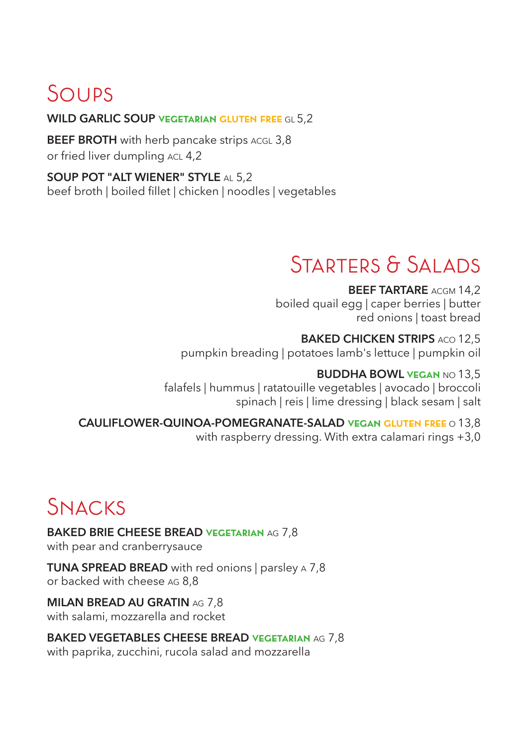# Soups

## **WILD GARLIC SOUP vegetarian gluten free** GL 5,2

**BEEF BROTH** with herb pancake strips ACGL 3,8 or fried liver dumpling ACL 4,2

**SOUP POT "ALT WIENER" STYLE** AL 5,2 beef broth | boiled fillet | chicken | noodles | vegetables

## STARTERS & SALADS

**BEEF TARTARE** ACGM 14.2 boiled quail egg | caper berries | butter red onions | toast bread

**BAKED CHICKEN STRIPS ACO 12,5** pumpkin breading | potatoes lamb's lettuce | pumpkin oil

 **BUDDHA BOWL vegan** NO 13,5 falafels | hummus | ratatouille vegetables | avocado | broccoli spinach | reis | lime dressing | black sesam | salt

**CAULIFLOWER-QUINOA-POMEGRANATE-SALAD vegan gluten free** O 13,8 with raspberry dressing. With extra calamari rings +3,0

# Snacks

**BAKED BRIE CHEESE BREAD vegetarian** AG 7,8 with pear and cranberrysauce

**TUNA SPREAD BREAD** with red onions I parsley A 7.8 or backed with cheese AG 8,8

**MILAN BREAD AU GRATIN** AG 7,8 with salami, mozzarella and rocket

**BAKED VEGETABLES CHEESE BREAD vegetarian** AG 7,8 with paprika, zucchini, rucola salad and mozzarella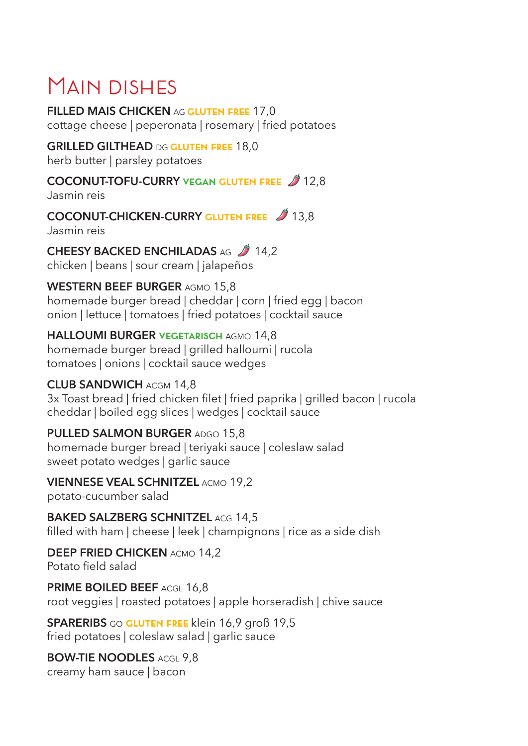# MAIN DISHES

**FILLED MAIS CHICKEN** AG **gluten free** 17,0 cottage cheese | peperonata | rosemary | fried potatoes

**GRILLED GILTHEAD** DG **gluten free** 18,0 herb butter | parsley potatoes

**COCONUT-TOFU-CURRY VEGAN GLUTEN FREE**  $\cancel{2}$  **12.8** Jasmin reis

**COCONUT-CHICKEN-CURRY GLUTEN FREE** 2 13,8 Jasmin reis

**CHEESY BACKED ENCHILADAS AG 2 14,2** 

chicken | beans | sour cream | jalapeños

**WESTERN BEEF BURGER** AGMO 15,8

homemade burger bread | cheddar | corn | fried egg | bacon onion | lettuce | tomatoes | fried potatoes | cocktail sauce

**HALLOUMI BURGER vegetarisch** AGMO 14,8

homemade burger bread | grilled halloumi | rucola tomatoes | onions | cocktail sauce wedges

## **CLUB SANDWICH** ACGM 14,8

3x Toast bread | fried chicken filet | fried paprika | grilled bacon | rucola cheddar | boiled egg slices | wedges | cocktail sauce

**PULLED SALMON BURGER** ADGO 15,8 homemade burger bread | teriyaki sauce | coleslaw salad sweet potato wedges | garlic sauce

**VIENNESE VEAL SCHNITZEL** ACMO 19,2

potato-cucumber salad

**BAKED SALZBERG SCHNITZEL ACG 14,5** filled with ham | cheese | leek | champignons | rice as a side dish

**DEEP FRIED CHICKEN** ACMO 14,2 Potato field salad

**PRIME BOILED BEEF** ACGL 16,8 root veggies | roasted potatoes | apple horseradish | chive sauce

**SPARERIBS** GO **gluten free** klein 16,9 groß 19,5 fried potatoes | coleslaw salad | garlic sauce

**BOW-TIE NOODLES** ACGL 9.8 creamy ham sauce | bacon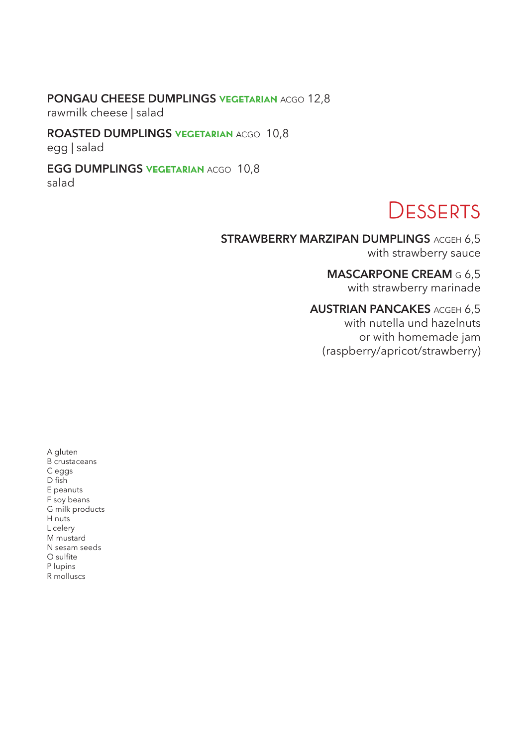### **PONGAU CHEESE DUMPLINGS vegetarian** ACGO 12,8

rawmilk cheese | salad

## **ROASTED DUMPLINGS vegetarian** ACGO 10,8

egg | salad

#### **EGG DUMPLINGS vegetarian** ACGO 10,8

salad

## **DESSERTS**

#### **STRAWBERRY MARZIPAN DUMPLINGS ACGEH 6,5** with strawberry sauce

**MASCARPONE CREAM** G 6,5

with strawberry marinade

## **AUSTRIAN PANCAKES** ACGEH 6,5

with nutella und hazelnuts or with homemade jam (raspberry/apricot/strawberry)

A gluten B crustaceans C eggs D fish E peanuts F soy beans G milk products H nuts L celery M mustard N sesam seeds O sulfite P lupins R molluscs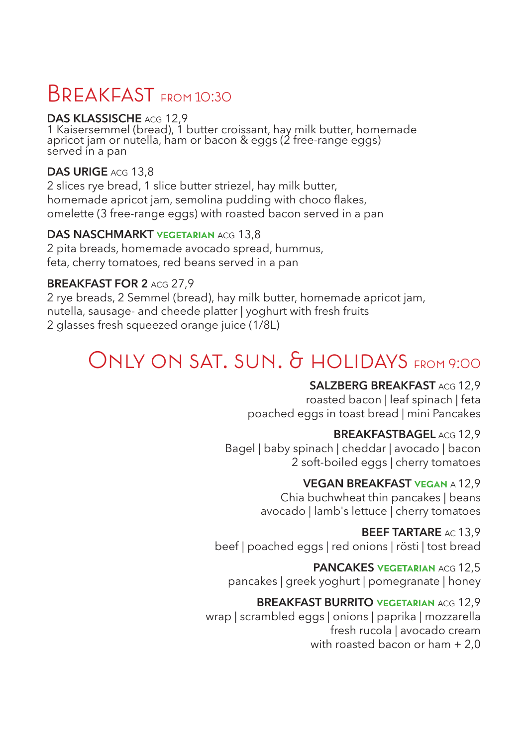## BREAKFAST FROM 10:30

## **DAS KLASSISCHE** ACG 12,9

1 Kaisersemmel (bread), 1 butter croissant, hay milk butter, homemade apricot jam or nutella, ham or bacon & eggs (2 free-range eggs) served in a pan

## **DAS URIGE** ACG 13,8

2 slices rye bread, 1 slice butter striezel, hay milk butter, homemade apricot jam, semolina pudding with choco flakes, omelette (3 free-range eggs) with roasted bacon served in a pan

### **DAS NASCHMARKT vegetarian** ACG 13,8

2 pita breads, homemade avocado spread, hummus, feta, cherry tomatoes, red beans served in a pan

### **BREAKFAST FOR 2** ACG 27,9

2 rye breads, 2 Semmel (bread), hay milk butter, homemade apricot jam, nutella, sausage- and cheede platter | yoghurt with fresh fruits 2 glasses fresh squeezed orange juice (1/8L)

## ONLY ON SAT. SUN. & HOLIDAYS FROM 9:00

## **SALZBERG BREAKFAST** ACG 12,9

 roasted bacon | leaf spinach | feta poached eggs in toast bread | mini Pancakes

### **BREAKFASTBAGEL** ACG 12,9

 Bagel | baby spinach | cheddar | avocado | bacon 2 soft-boiled eggs | cherry tomatoes

## **VEGAN BREAKFAST vegan** A 12,9

 Chia buchwheat thin pancakes | beans avocado | lamb's lettuce | cherry tomatoes

### **BEEF TARTARE** AC 13,9

beef | poached eggs | red onions | rösti | tost bread

## **PANCAKES VEGETARIAN ACG 12.5**

pancakes | greek yoghurt | pomegranate | honey

### **BREAKFAST BURRITO vegetarian** ACG 12,9

 wrap | scrambled eggs | onions | paprika | mozzarella fresh rucola | avocado cream with roasted bacon or ham + 2,0